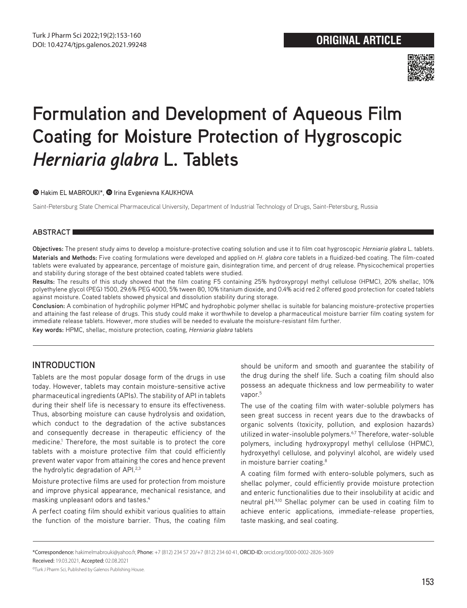

# **Formulation and Development of Aqueous Film Coating for Moisture Protection of Hygroscopic**  *Herniaria glabra* **L. Tablets**

#### **ID**Hakim EL MABROUKI\*, **ID** Irina Evgenievna KAUKHOVA

Saint-Petersburg State Chemical Pharmaceutical University, Department of Industrial Technology of Drugs, Saint-Petersburg, Russia

#### **ABSTRACT**

**Objectives:** The present study aims to develop a moisture-protective coating solution and use it to film coat hygroscopic *Herniaria glabra* L. tablets. **Materials and Methods:** Five coating formulations were developed and applied on *H. glabra* core tablets in a fluidized-bed coating. The film-coated tablets were evaluated by appearance, percentage of moisture gain, disintegration time, and percent of drug release. Physicochemical properties and stability during storage of the best obtained coated tablets were studied.

**Results:** The results of this study showed that the film coating F5 containing 25% hydroxypropyl methyl cellulose (HPMC), 20% shellac, 10% polyethylene glycol (PEG) 1500, 29.6% PEG 4000, 5% tween 80, 10% titanium dioxide, and 0.4% acid red 2 offered good protection for coated tablets against moisture. Coated tablets showed physical and dissolution stability during storage.

**Conclusion:** A combination of hydrophilic polymer HPMC and hydrophobic polymer shellac is suitable for balancing moisture-protective properties and attaining the fast release of drugs. This study could make it worthwhile to develop a pharmaceutical moisture barrier film coating system for immediate release tablets. However, more studies will be needed to evaluate the moisture-resistant film further.

**Key words:** HPMC, shellac, moisture protection, coating, *Herniaria glabra* tablets

# **INTRODUCTION**

Tablets are the most popular dosage form of the drugs in use today. However, tablets may contain moisture-sensitive active pharmaceutical ingredients (APIs). The stability of API in tablets during their shelf life is necessary to ensure its effectiveness. Thus, absorbing moisture can cause hydrolysis and oxidation, which conduct to the degradation of the active substances and consequently decrease in therapeutic efficiency of the medicine.<sup>1</sup> Therefore, the most suitable is to protect the core tablets with a moisture protective film that could efficiently prevent water vapor from attaining the cores and hence prevent the hydrolytic degradation of API.<sup>2,3</sup>

Moisture protective films are used for protection from moisture and improve physical appearance, mechanical resistance, and masking unpleasant odors and tastes.4

A perfect coating film should exhibit various qualities to attain the function of the moisture barrier. Thus, the coating film

should be uniform and smooth and guarantee the stability of the drug during the shelf life. Such a coating film should also possess an adequate thickness and low permeability to water vapor.<sup>5</sup>

The use of the coating film with water-soluble polymers has seen great success in recent years due to the drawbacks of organic solvents (toxicity, pollution, and explosion hazards) utilized in water-insoluble polymers.<sup>6,7</sup> Therefore, water-soluble polymers, including hydroxypropyl methyl cellulose (HPMC), hydroxyethyl cellulose, and polyvinyl alcohol, are widely used in moisture barrier coating.<sup>8</sup>

A coating film formed with entero-soluble polymers, such as shellac polymer, could efficiently provide moisture protection and enteric functionalities due to their insolubility at acidic and neutral pH.9,10 Shellac polymer can be used in coating film to achieve enteric applications, immediate-release properties, taste masking, and seal coating.

\*Correspondence: hakimelmabrouki@yahoo.fr, Phone: +7 (812) 234 57 20/+7 (812) 234 60 41, ORCID-ID: orcid.org/0000-0002-2826-3609

Received: 19.03.2021, Accepted: 02.08.2021

©Turk J Pharm Sci, Published by Galenos Publishing House.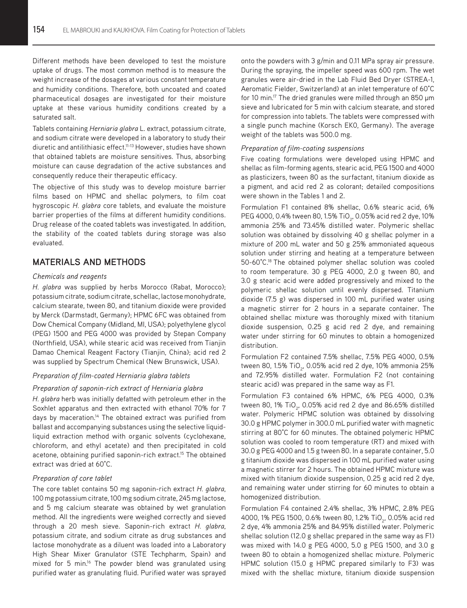Different methods have been developed to test the moisture uptake of drugs. The most common method is to measure the weight increase of the dosages at various constant temperature and humidity conditions. Therefore, both uncoated and coated pharmaceutical dosages are investigated for their moisture uptake at these various humidity conditions created by a saturated salt.

Tablets containing *Herniaria glabra* L. extract, potassium citrate, and sodium citrate were developed in a laboratory to study their diuretic and antilithiasic effect.<sup>11-13</sup> However, studies have shown that obtained tablets are moisture sensitives. Thus, absorbing moisture can cause degradation of the active substances and consequently reduce their therapeutic efficacy.

The objective of this study was to develop moisture barrier films based on HPMC and shellac polymers, to film coat hygroscopic *H. glabra* core tablets, and evaluate the moisture barrier properties of the films at different humidity conditions. Drug release of the coated tablets was investigated. In addition, the stability of the coated tablets during storage was also evaluated.

# **MATERIALS AND METHODS**

#### *Chemicals and reagents*

*H. glabra* was supplied by herbs Morocco (Rabat, Morocco); potassium citrate, sodium citrate, schellac, lactose monohydrate, calcium stearate, tween 80, and titanium dioxide were provided by Merck (Darmstadt, Germany); HPMC 6FC was obtained from Dow Chemical Company (Midland, MI, USA); polyethylene glycol (PEG) 1500 and PEG 4000 was provided by Stepan Company (Northfield, USA), while stearic acid was received from Tianjin Damao Chemical Reagent Factory (Tianjin, China); acid red 2 was supplied by Spectrum Chemical (New Brunswick, USA).

#### *Preparation of film-coated Herniaria glabra tablets*

#### *Preparation of saponin-rich extract of Herniaria glabra*

*H. glabra* herb was initially defatted with petroleum ether in the Soxhlet apparatus and then extracted with ethanol 70% for 7 days by maceration.<sup>14</sup> The obtained extract was purified from ballast and accompanying substances using the selective liquidliquid extraction method with organic solvents (cyclohexane, chloroform, and ethyl acetate) and then precipitated in cold acetone, obtaining purified saponin-rich extract.<sup>15</sup> The obtained extract was dried at 60°C.

#### *Preparation of core tablet*

The core tablet contains 50 mg saponin-rich extract *H. glabra*, 100 mg potassium citrate, 100 mg sodium citrate, 245 mg lactose, and 5 mg calcium stearate was obtained by wet granulation method. All the ingredients were weighed correctly and sieved through a 20 mesh sieve. Saponin-rich extract *H. glabra*, potassium citrate, and sodium citrate as drug substances and lactose monohydrate as a diluent was loaded into a Laboratory High Shear Mixer Granulator (STE Techpharm, Spain) and mixed for 5 min.<sup>16</sup> The powder blend was granulated using purified water as granulating fluid. Purified water was sprayed

onto the powders with 3 g/min and 0.11 MPa spray air pressure. During the spraying, the impeller speed was 600 rpm. The wet granules were air-dried in the Lab Fluid Bed Dryer (STREA-1, Aeromatic Fielder, Switzerland) at an inlet temperature of 60°C for 10 min.<sup>17</sup> The dried granules were milled through an 850 µm sieve and lubricated for 5 min with calcium stearate, and stored for compression into tablets. The tablets were compressed with a single punch machine (Korsch EK0, Germany). The average weight of the tablets was 500.0 mg.

#### *Preparation of film-coating suspensions*

Five coating formulations were developed using HPMC and shellac as film-forming agents, stearic acid, PEG 1500 and 4000 as plasticizers, tween 80 as the surfactant, titanium dioxide as a pigment, and acid red 2 as colorant; detailed compositions were shown in the Tables 1 and 2.

Formulation F1 contained 8% shellac, 0.6% stearic acid, 6% PEG 4000, 0.4% tween 80, 1.5% TiO<sub>2</sub>, 0.05% acid red 2 dye, 10% ammonia 25% and 73.45% distilled water. Polymeric shellac solution was obtained by dissolving 40 g shellac polymer in a mixture of 200 mL water and 50 g 25% ammoniated aqueous solution under stirring and heating at a temperature between 50-60°C.18 The obtained polymer shellac solution was cooled to room temperature. 30 g PEG 4000, 2.0 g tween 80, and 3.0 g stearic acid were added progressively and mixed to the polymeric shellac solution until evenly dispersed. Titanium dioxide (7.5 g) was dispersed in 100 mL purified water using a magnetic stirrer for 2 hours in a separate container. The obtained shellac mixture was thoroughly mixed with titanium dioxide suspension, 0.25 g acid red 2 dye, and remaining water under stirring for 60 minutes to obtain a homogenized distribution.

Formulation F2 contained 7.5% shellac, 7.5% PEG 4000, 0.5% tween 80, 1.5% TiO<sub>2</sub>, 0.05% acid red 2 dye, 10% ammonia 25% and 72.95% distilled water. Formulation F2 (not containing stearic acid) was prepared in the same way as F1.

Formulation F3 contained 6% HPMC, 6% PEG 4000, 0.3% tween 80, 1% TiO<sub>2</sub>, 0.05% acid red 2 dye and 86.65% distilled water. Polymeric HPMC solution was obtained by dissolving 30.0 g HPMC polymer in 300.0 mL purified water with magnetic stirring at 80°C for 60 minutes. The obtained polymeric HPMC solution was cooled to room temperature (RT) and mixed with 30.0 g PEG 4000 and 1.5 g tween 80. In a separate container, 5.0 g titanium dioxide was dispersed in 100 mL purified water using a magnetic stirrer for 2 hours. The obtained HPMC mixture was mixed with titanium dioxide suspension, 0.25 g acid red 2 dye, and remaining water under stirring for 60 minutes to obtain a homogenized distribution.

Formulation F4 contained 2.4% shellac, 3% HPMC, 2.8% PEG 4000, 1% PEG 1500, 0.6% tween 80, 1.2% TiO<sub>2</sub>, 0.05% acid red 2 dye, 4% ammonia 25% and 84.95% distilled water. Polymeric shellac solution (12.0 g shellac prepared in the same way as F1) was mixed with 14.0 g PEG 4000, 5.0 g PEG 1500, and 3.0 g tween 80 to obtain a homogenized shellac mixture. Polymeric HPMC solution (15.0 g HPMC prepared similarly to F3) was mixed with the shellac mixture, titanium dioxide suspension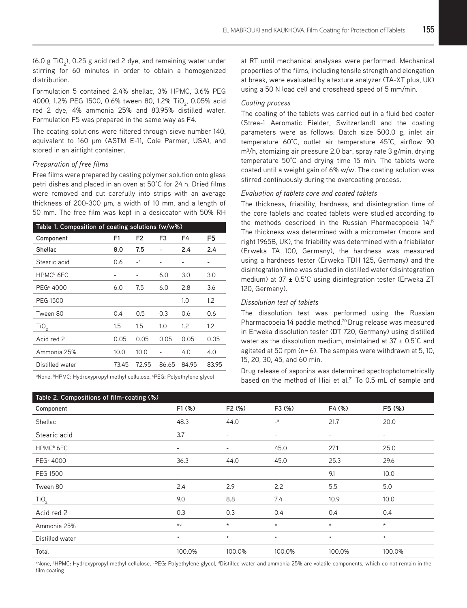(6.0 g TiO<sub>2</sub>), 0.25 g acid red 2 dye, and remaining water under stirring for 60 minutes in order to obtain a homogenized distribution.

Formulation 5 contained 2.4% shellac, 3% HPMC, 3.6% PEG 4000, 1.2% PEG 1500, 0.6% tween 80, 1.2% TiO<sub>2</sub>, 0.05% acid red 2 dye, 4% ammonia 25% and 83.95% distilled water. Formulation F5 was prepared in the same way as F4.

The coating solutions were filtered through sieve number 140, equivalent to 160 µm (ASTM E-11, Cole Parmer, USA), and stored in an airtight container.

#### *Preparation of free films*

Free films were prepared by casting polymer solution onto glass petri dishes and placed in an oven at 50°C for 24 h. Dried films were removed and cut carefully into strips with an average thickness of 200-300 µm, a width of 10 mm, and a length of 50 mm. The free film was kept in a desiccator with 50% RH

| Table 1. Composition of coating solutions (w/w%) |       |                |                          |                   |                  |  |
|--------------------------------------------------|-------|----------------|--------------------------|-------------------|------------------|--|
| Component                                        | F1    | F <sub>2</sub> | F3                       | F4                | F5               |  |
| Shellac                                          | 8.0   | 7.5            |                          | 2.4               | 2.4              |  |
| Stearic acid                                     | 0.6   | $-a$           | $\overline{\phantom{a}}$ | $\qquad \qquad -$ | -                |  |
| HPMC <sup>b</sup> 6FC                            |       |                | 6.0                      | 3.0               | 3.0              |  |
| PEG <sup>c</sup> 4000                            | 6.0   | 7.5            | 6.0                      | 2.8               | 3.6              |  |
| PEG 1500                                         |       |                |                          | 1.0               | $1.2\phantom{0}$ |  |
| Tween 80                                         | 0.4   | 0.5            | 0.3                      | 0.6               | 0.6              |  |
| TiO <sub>2</sub>                                 | 1.5   | 1.5            | 1.0                      | $1.2\phantom{0}$  | $1.2\phantom{0}$ |  |
| Acid red 2                                       | 0.05  | 0.05           | 0.05                     | 0.05              | 0.05             |  |
| Ammonia 25%                                      | 10.0  | 10.0           | $\qquad \qquad -$        | 4.0               | 4.0              |  |
| Distilled water                                  | 73.45 | 72.95          | 86.65                    | 84.95             | 83.95            |  |

<sup>a</sup>None, <sup>b</sup>HPMC: Hydroxypropyl methyl cellulose, <sup>c</sup>PEG: Polyethylene glycol

at RT until mechanical analyses were performed. Mechanical properties of the films, including tensile strength and elongation at break, were evaluated by a texture analyzer (TA-XT plus, UK) using a 50 N load cell and crosshead speed of 5 mm/min.

#### *Coating process*

The coating of the tablets was carried out in a fluid bed coater (Strea-1 Aeromatic Fielder*,* Switzerland) and the coating parameters were as follows: Batch size 500.0 g, inlet air temperature 60°C, outlet air temperature 45°C, airflow 90 m<sup>3</sup>/h, atomizing air pressure 2.0 bar, spray rate 3 g/min, drying temperature 50°C and drying time 15 min. The tablets were coated until a weight gain of 6% w/w. The coating solution was stirred continuously during the overcoating process.

#### *Evaluation of tablets core and coated tablets*

The thickness, friability, hardness, and disintegration time of the core tablets and coated tablets were studied according to the methods described in the Russian Pharmacopoeia 14.19 The thickness was determined with a micrometer (moore and right 1965B, UK), the friability was determined with a friabilator (Erweka TA 100, Germany), the hardness was measured using a hardness tester (Erweka TBH 125, Germany) and the disintegration time was studied in distilled water (disintegration medium) at  $37 \pm 0.5^{\circ}$ C using disintegration tester (Erweka ZT 120, Germany).

#### *Dissolution test of tablets*

The dissolution test was performed using the Russian Pharmacopeia 14 paddle method.<sup>20</sup> Drug release was measured in Erweka dissolution tester (DT 720, Germany) using distilled water as the dissolution medium, maintained at  $37 \pm 0.5^{\circ}$ C and agitated at 50 rpm (n= 6). The samples were withdrawn at 5, 10, 15, 20, 30, 45, and 60 min.

Drug release of saponins was determined spectrophotometrically based on the method of Hiai et al.<sup>21</sup> To 0.5 mL of sample and

| Table 2. Compositions of film-coating (%) |                          |                          |                   |                          |                          |  |
|-------------------------------------------|--------------------------|--------------------------|-------------------|--------------------------|--------------------------|--|
| Component                                 | F1 (%)                   | F <sub>2</sub> (%)       | F3 (%)            | F4 (%)                   | F5 (%)                   |  |
| Shellac                                   | 48.3                     | 44.0                     | $a_{-}$           | 21.7                     | 20.0                     |  |
| Stearic acid                              | 3.7                      | $\overline{\phantom{a}}$ | $\qquad \qquad -$ | $\overline{\phantom{a}}$ | $\overline{\phantom{a}}$ |  |
| HPMC <sup>b</sup> 6FC                     | $\overline{\phantom{a}}$ | $\overline{\phantom{a}}$ | 45.0              | 27.1                     | 25.0                     |  |
| PEG <sup>c</sup> 4000                     | 36.3                     | 44.0                     | 45.0              | 25.3                     | 29.6                     |  |
| <b>PEG 1500</b>                           | $\overline{\phantom{a}}$ | $\overline{\phantom{a}}$ | $\qquad \qquad -$ | 9.1                      | 10.0                     |  |
| Tween 80                                  | 2.4                      | 2.9                      | 2.2               | 5.5                      | 5.0                      |  |
| TiO <sub>2</sub>                          | 9.0                      | 8.8                      | 7.4               | 10.9                     | 10.0                     |  |
| Acid red 2                                | 0.3                      | 0.3                      | 0.4               | 0.4                      | 0.4                      |  |
| Ammonia 25%                               | $\star$ d                | $\star$                  | $\star$           | $^\star$                 | $\star$                  |  |
| Distilled water                           | $^\star$                 | $\star$                  | $\star$           | $^\star$                 | $\star$                  |  |
| Total                                     | 100.0%                   | 100.0%                   | 100.0%            | 100.0%                   | 100.0%                   |  |

<sup>®</sup>None, <sup>b</sup>HPMC: Hydroxypropyl methyl cellulose, °PEG: Polyethylene glycol, <sup>a</sup>Distilled water and ammonia 25% are volatile components, which do not remain in the film coating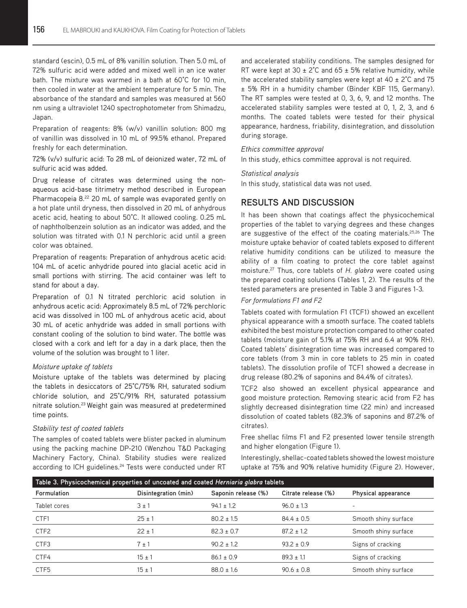standard (escin), 0.5 mL of 8% vanillin solution. Then 5.0 mL of 72% sulfuric acid were added and mixed well in an ice water bath. The mixture was warmed in a bath at 60°C for 10 min, then cooled in water at the ambient temperature for 5 min. The absorbance of the standard and samples was measured at 560 nm using a ultraviolet 1240 spectrophotometer from Shimadzu, Japan.

Preparation of reagents: 8% (w/v) vanillin solution: 800 mg of vanillin was dissolved in 10 mL of 99.5% ethanol. Prepared freshly for each determination.

72% (v/v) sulfuric acid: To 28 mL of deionized water, 72 mL of sulfuric acid was added.

Drug release of citrates was determined using the nonaqueous acid-base titrimetry method described in European Pharmacopeia 8.<sup>22</sup> 20 mL of sample was evaporated gently on a hot plate until dryness, then dissolved in 20 mL of anhydrous acetic acid, heating to about 50°C. It allowed cooling. 0.25 mL of naphtholbenzein solution as an indicator was added, and the solution was titrated with 0.1 N perchloric acid until a green color was obtained.

Preparation of reagents: Preparation of anhydrous acetic acid: 104 mL of acetic anhydride poured into glacial acetic acid in small portions with stirring. The acid container was left to stand for about a day.

Preparation of 0.1 N titrated perchloric acid solution in anhydrous acetic acid: Approximately 8.5 mL of 72% perchloric acid was dissolved in 100 mL of anhydrous acetic acid, about 30 mL of acetic anhydride was added in small portions with constant cooling of the solution to bind water. The bottle was closed with a cork and left for a day in a dark place, then the volume of the solution was brought to 1 liter.

#### *Moisture uptake of tablets*

Moisture uptake of the tablets was determined by placing the tablets in desiccators of 25°C/75% RH, saturated sodium chloride solution, and 25°C/91% RH, saturated potassium nitrate solution.<sup>23</sup> Weight gain was measured at predetermined time points.

#### *Stability test of coated tablets*

The samples of coated tablets were blister packed in aluminum using the packing machine DP-210 (Wenzhou T&D Packaging Machinery Factory, China). Stability studies were realized according to ICH guidelines.<sup>24</sup> Tests were conducted under RT

and accelerated stability conditions. The samples designed for RT were kept at 30  $\pm$  2°C and 65  $\pm$  5% relative humidity, while the accelerated stability samples were kept at  $40 \pm 2^{\circ}$ C and 75 ± 5% RH in a humidity chamber (Binder KBF 115, Germany). The RT samples were tested at 0, 3, 6, 9, and 12 months. The accelerated stability samples were tested at 0, 1, 2, 3, and 6 months. The coated tablets were tested for their physical appearance, hardness, friability, disintegration, and dissolution during storage.

#### *Ethics committee approval*

In this study, ethics committee approval is not required.

#### *Statistical analysis*

In this study, statistical data was not used.

# **RESULTS AND DISCUSSION**

It has been shown that coatings affect the physicochemical properties of the tablet to varying degrees and these changes are suggestive of the effect of the coating materials.<sup>25,26</sup> The moisture uptake behavior of coated tablets exposed to different relative humidity conditions can be utilized to measure the ability of a film coating to protect the core tablet against moisture.27 Thus, core tablets of *H. glabra* were coated using the prepared coating solutions (Tables 1, 2). The results of the tested parameters are presented in Table 3 and Figures 1-3.

#### *For formulations F1 and F2*

Tablets coated with formulation F1 (TCF1) showed an excellent physical appearance with a smooth surface. The coated tablets exhibited the best moisture protection compared to other coated tablets (moisture gain of 5.1% at 75% RH and 6.4 at 90% RH). Coated tablets' disintegration time was increased compared to core tablets (from 3 min in core tablets to 25 min in coated tablets). The dissolution profile of TCF1 showed a decrease in drug release (80.2% of saponins and 84.4% of citrates).

TCF2 also showed an excellent physical appearance and good moisture protection. Removing stearic acid from F2 has slightly decreased disintegration time (22 min) and increased dissolution of coated tablets (82.3% of saponins and 87.2% of citrates).

Free shellac films F1 and F2 presented lower tensile strength and higher elongation (Figure 1).

Interestingly, shellac-coated tablets showed the lowest moisture uptake at 75% and 90% relative humidity (Figure 2). However,

| Table 3. Physicochemical properties of uncoated and coated Herniaria glabra tablets |                      |                     |                     |                      |  |  |
|-------------------------------------------------------------------------------------|----------------------|---------------------|---------------------|----------------------|--|--|
| Formulation                                                                         | Disintegration (min) | Saponin release (%) | Citrate release (%) | Physical appearance  |  |  |
| Tablet cores                                                                        | $3 \pm 1$            | $94.1 \pm 1.2$      | $96.0 \pm 1.3$      |                      |  |  |
| CTF1                                                                                | $25 \pm 1$           | $80.2 \pm 1.5$      | $84.4 \pm 0.5$      | Smooth shiny surface |  |  |
| CTF <sub>2</sub>                                                                    | $22 \pm 1$           | $82.3 \pm 0.7$      | $87.2 \pm 1.2$      | Smooth shiny surface |  |  |
| CTF3                                                                                | $7 \pm 1$            | $90.2 \pm 1.2$      | $93.2 \pm 0.9$      | Signs of cracking    |  |  |
| CTF4                                                                                | $15 \pm 1$           | $86.1 \pm 0.9$      | $89.3 \pm 1.1$      | Signs of cracking    |  |  |
| CTF <sub>5</sub>                                                                    | $15 \pm 1$           | $88.0 \pm 1.6$      | $90.6 \pm 0.8$      | Smooth shiny surface |  |  |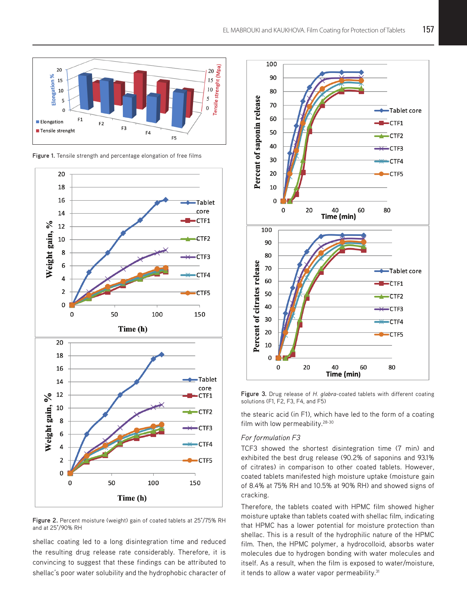





**Figure 2.** Percent moisture (weight) gain of coated tablets at 25°/75% RH and at 25°/90% RH

shellac coating led to a long disintegration time and reduced the resulting drug release rate considerably. Therefore, it is convincing to suggest that these findings can be attributed to shellac's poor water solubility and the hydrophobic character of



**Figure 3.** Drug release of *H. glabra*-coated tablets with different coating solutions (F1, F2, F3, F4, and F5)

the stearic acid (in F1), which have led to the form of a coating film with low permeability.<sup>28-30</sup>

#### *For formulation F3*

TCF3 showed the shortest disintegration time (7 min) and exhibited the best drug release (90.2% of saponins and 93.1% of citrates) in comparison to other coated tablets. However, coated tablets manifested high moisture uptake (moisture gain of 8.4% at 75% RH and 10.5% at 90% RH) and showed signs of cracking.

Therefore, the tablets coated with HPMC film showed higher moisture uptake than tablets coated with shellac film, indicating that HPMC has a lower potential for moisture protection than shellac. This is a result of the hydrophilic nature of the HPMC film. Then, the HPMC polymer, a hydrocolloid, absorbs water molecules due to hydrogen bonding with water molecules and itself. As a result, when the film is exposed to water/moisture, it tends to allow a water vapor permeability.<sup>31</sup>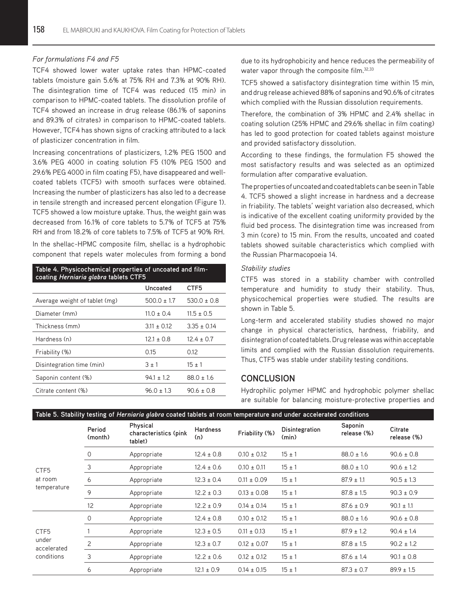#### *For formulations F4 and F5*

TCF4 showed lower water uptake rates than HPMC-coated tablets (moisture gain 5.6% at 75% RH and 7.3% at 90% RH). The disintegration time of TCF4 was reduced (15 min) in comparison to HPMC-coated tablets. The dissolution profile of TCF4 showed an increase in drug release (86.1% of saponins and 89.3% of citrates) in comparison to HPMC-coated tablets. However, TCF4 has shown signs of cracking attributed to a lack of plasticizer concentration in film.

Increasing concentrations of plasticizers, 1.2% PEG 1500 and 3.6% PEG 4000 in coating solution F5 (10% PEG 1500 and 29.6% PEG 4000 in film coating F5), have disappeared and wellcoated tablets (TCF5) with smooth surfaces were obtained. Increasing the number of plasticizers has also led to a decrease in tensile strength and increased percent elongation (Figure 1). TCF5 showed a low moisture uptake. Thus, the weight gain was decreased from 16.1% of core tablets to 5.7% of TCF5 at 75% RH and from 18.2% of core tablets to 7.5% of TCF5 at 90% RH. In the shellac-HPMC composite film, shellac is a hydrophobic component that repels water molecules from forming a bond

| Table 4. Physicochemical properties of uncoated and film-<br>coating Herniaria glabra tablets CTF5 |                 |                 |  |  |  |
|----------------------------------------------------------------------------------------------------|-----------------|-----------------|--|--|--|
|                                                                                                    | Uncoated        | CTF5            |  |  |  |
| Average weight of tablet (mg)                                                                      | $500.0 \pm 1.7$ | $530.0 \pm 0.8$ |  |  |  |
| Diameter (mm)                                                                                      | $11.0 \pm 0.4$  | $11.5 \pm 0.5$  |  |  |  |
| Thickness (mm)                                                                                     | $3.11 \pm 0.12$ | $3.35 \pm 0.14$ |  |  |  |
| Hardness (n)                                                                                       | $12.1 \pm 0.8$  | $12.4 \pm 0.7$  |  |  |  |
| Friability (%)                                                                                     | 0.15            | 0.12            |  |  |  |
| Disintegration time (min)                                                                          | $3 \pm 1$       | $15 + 1$        |  |  |  |
| Saponin content (%)                                                                                | $94.1 \pm 1.2$  | $88.0 \pm 1.6$  |  |  |  |
| Citrate content (%)                                                                                | $96.0 + 1.3$    | $90.6 \pm 0.8$  |  |  |  |

due to its hydrophobicity and hence reduces the permeability of water vapor through the composite film.<sup>32,33</sup>

TCF5 showed a satisfactory disintegration time within 15 min, and drug release achieved 88% of saponins and 90.6% of citrates which complied with the Russian dissolution requirements.

Therefore, the combination of 3% HPMC and 2.4% shellac in coating solution (25% HPMC and 29.6% shellac in film coating) has led to good protection for coated tablets against moisture and provided satisfactory dissolution.

According to these findings, the formulation F5 showed the most satisfactory results and was selected as an optimized formulation after comparative evaluation.

The properties of uncoated and coated tablets can be seen in Table 4. TCF5 showed a slight increase in hardness and a decrease in friability. The tablets' weight variation also decreased, which is indicative of the excellent coating uniformity provided by the fluid bed process. The disintegration time was increased from 3 min (core) to 15 min. From the results, uncoated and coated tablets showed suitable characteristics which complied with the Russian Pharmacopoeia 14.

#### *Stability studies*

CTF5 was stored in a stability chamber with controlled temperature and humidity to study their stability. Thus, physicochemical properties were studied. The results are shown in Table 5.

Long-term and accelerated stability studies showed no major change in physical characteristics, hardness, friability, and disintegration of coated tablets. Drug release was within acceptable limits and complied with the Russian dissolution requirements. Thus, CTF5 was stable under stability testing conditions.

### **CONCLUSION**

Hydrophilic polymer HPMC and hydrophobic polymer shellac are suitable for balancing moisture-protective properties and

| CTF <sub>5</sub><br>at room<br>temperature             | Period<br>(month) | Physical<br>characteristics (pink<br>tablet) | <b>Hardness</b><br>(n) | Friability (%)  | Disintegration<br>(min) | Saponin<br>release (%) | Citrate<br>release (%) |
|--------------------------------------------------------|-------------------|----------------------------------------------|------------------------|-----------------|-------------------------|------------------------|------------------------|
|                                                        | 0                 | Appropriate                                  | $12.4 \pm 0.8$         | $0.10 \pm 0.12$ | $15 \pm 1$              | $88.0 \pm 1.6$         | $90.6 \pm 0.8$         |
|                                                        | 3                 | Appropriate                                  | $12.4 \pm 0.6$         | $0.10 \pm 0.11$ | $15 \pm 1$              | $88.0 \pm 1.0$         | $90.6 \pm 1.2$         |
|                                                        | 6                 | Appropriate                                  | $12.3 \pm 0.4$         | $0.11 \pm 0.09$ | $15 \pm 1$              | $87.9 \pm 1.1$         | $90.5 \pm 1.3$         |
|                                                        | 9                 | Appropriate                                  | $12.2 \pm 0.3$         | $0.13 \pm 0.08$ | $15 \pm 1$              | $87.8 \pm 1.5$         | $90.3 \pm 0.9$         |
|                                                        | 12                | Appropriate                                  | $12.2 \pm 0.9$         | $0.14 \pm 0.14$ | $15 \pm 1$              | $87.6 \pm 0.9$         | $90.1 \pm 1.1$         |
| CTF <sub>5</sub><br>under<br>accelerated<br>conditions | 0                 | Appropriate                                  | $12.4 \pm 0.8$         | $0.10 \pm 0.12$ | $15 \pm 1$              | $88.0 \pm 1.6$         | $90.6 \pm 0.8$         |
|                                                        |                   | Appropriate                                  | $12.3 \pm 0.5$         | $0.11 \pm 0.13$ | $15 \pm 1$              | $87.9 \pm 1.2$         | $90.4 \pm 1.4$         |
|                                                        | 2                 | Appropriate                                  | $12.3 \pm 0.7$         | $0.12 \pm 0.07$ | $15 \pm 1$              | $87.8 \pm 1.5$         | $90.2 \pm 1.2$         |
|                                                        | 3                 | Appropriate                                  | $12.2 \pm 0.6$         | $0.12 \pm 0.12$ | $15 \pm 1$              | $87.6 \pm 1.4$         | $90.1 \pm 0.8$         |
|                                                        | 6                 | Appropriate                                  | $12.1 \pm 0.9$         | $0.14 \pm 0.15$ | $15 \pm 1$              | $87.3 \pm 0.7$         | $89.9 \pm 1.5$         |

# **Table 5. Stability testing of** *Herniaria glabra* **coated tablets at room temperature and under accelerated conditions**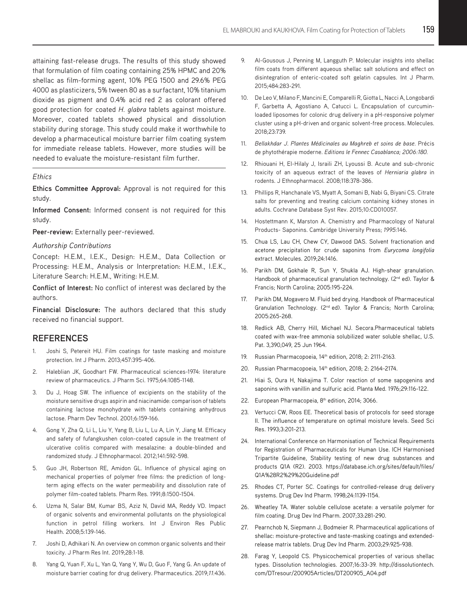attaining fast-release drugs. The results of this study showed that formulation of film coating containing 25% HPMC and 20% shellac as film-forming agent, 10% PEG 1500 and 29.6% PEG 4000 as plasticizers, 5% tween 80 as a surfactant, 10% titanium dioxide as pigment and 0.4% acid red 2 as colorant offered good protection for coated *H. glabra* tablets against moisture. Moreover, coated tablets showed physical and dissolution stability during storage. This study could make it worthwhile to develop a pharmaceutical moisture barrier film coating system for immediate release tablets. However, more studies will be needed to evaluate the moisture-resistant film further.

#### *Ethics*

**Ethics Committee Approval:** Approval is not required for this study.

**Informed Consent:** Informed consent is not required for this study.

**Peer-review:** Externally peer-reviewed.

#### *Authorship Contributions*

Concept: H.E.M., I.E.K., Design: H.E.M., Data Collection or Processing: H.E.M., Analysis or Interpretation: H.E.M., I.E.K., Literature Search: H.E.M., Writing: H.E.M.

**Conflict of Interest:** No conflict of interest was declared by the authors.

**Financial Disclosure:** The authors declared that this study received no financial support.

## **REFERENCES**

- 1. Joshi S, Petereit HU. Film coatings for taste masking and moisture protection. Int J Pharm. 2013;457:395-406.
- 2. Haleblian JK, Goodhart FW. Pharmaceutical sciences-1974: literature review of pharmaceutics. J Pharm Sci. 1975;64:1085-1148.
- 3. Du J, Hoag SW. The influence of excipients on the stability of the moisture sensitive drugs aspirin and niacinamide: comparison of tablets containing lactose monohydrate with tablets containing anhydrous lactose. Pharm Dev Technol. 2001;6:159-166.
- 4. Gong Y, Zha Q, Li L, Liu Y, Yang B, Liu L, Lu A, Lin Y, Jiang M. Efficacy and safety of fufangkushen colon-coated capsule in the treatment of ulcerative colitis compared with mesalazine: a double-blinded and randomized study. J Ethnopharmacol. 2012;141:592-598.
- 5. Guo JH, Robertson RE, Amidon GL. Influence of physical aging on mechanical properties of polymer free films: the prediction of longterm aging effects on the water permeability and dissolution rate of polymer film-coated tablets. Pharm Res. 1991;8:1500-1504.
- 6. Uzma N, Salar BM, Kumar BS, Aziz N, David MA, Reddy VD. Impact of organic solvents and environmental pollutants on the physiological function in petrol filling workers. Int J Environ Res Public Health. 2008;5:139-146.
- 7. Joshi D, Adhikari N. An overview on common organic solvents and their toxicity. J Pharm Res Int. 2019;28:1-18.
- 8. Yang Q, Yuan F, Xu L, Yan Q, Yang Y, Wu D, Guo F, Yang G. An update of moisture barrier coating for drug delivery. Pharmaceutics. 2019;*11:*436.
- 9. Al-Gousous J, Penning M, Langguth P. Molecular insights into shellac film coats from different aqueous shellac salt solutions and effect on disintegration of enteric-coated soft gelatin capsules. Int J Pharm. 2015;484:283-291.
- 10. De Leo V, Milano F, Mancini E, Comparelli R, Giotta L, Nacci A, Longobardi F, Garbetta A, Agostiano A, Catucci L. Encapsulation of curcuminloaded liposomes for colonic drug delivery in a pH-responsive polymer cluster using a pH-driven and organic solvent-free process. Molecules. 2018;23:739.
- 11. *Bellakhdar J*. *Plantes Médicinales au Maghreb et soins de base*. Précis de phytothérapie moderne. *Editions le Fennec Casablanca; 2006:180.*
- 12. Rhiouani H, El-Hilaly J, Israili ZH, Lyoussi B. Acute and sub-chronic toxicity of an aqueous extract of the leaves of *Herniaria glabra* in rodents. J Ethnopharmacol. 2008;118:378-386.
- 13. Phillips R, Hanchanale VS, Myatt A, Somani B, Nabi G, Biyani CS. Citrate salts for preventing and treating calcium containing kidney stones in adults. Cochrane Database Syst Rev. 2015;10:CD010057.
- 14. Hostettmann K, Marston A. Chemistry and Pharmacology of Natural Products- Saponins. Cambridge University Press; *1995:*146.
- 15. Chua LS, Lau CH, Chew CY, Dawood DAS. Solvent fractionation and acetone precipitation for crude saponins from *Eurycoma longifolia* extract. Molecules. 2019;24:1416.
- 16. Parikh DM, Gokhale R, Sun Y, Shukla AJ. High-shear granulation. Handbook of pharmaceutical granulation technology. (2<sup>nd</sup> ed). Taylor & Francis; North Carolina; 2005:195-224.
- 17. Parikh DM, Mogavero M. Fluid bed drying. Handbook of Pharmaceutical Granulation Technology. (2nd ed). Taylor & Francis; North Carolina; 2005:265-268.
- 18. Redlick AB, Cherry Hill, Michael NJ. Secora.Pharmaceutical tablets coated with wax-free ammonia solubilized water soluble shellac, U.S. Pat. 3,390,049, 25 Jun 1964.
- 19. Russian Pharmacopoeia, 14<sup>th</sup> edition, 2018; 2: 2111-2163.
- 20. Russian Pharmacopoeia, 14<sup>th</sup> edition, 2018; 2: 2164-2174.
- 21. Hiai S, Oura H, Nakajima T. Color reaction of some sapogenins and saponins with vanillin and sulfuric acid. Planta Med. 1976;29:116-122.
- 22. European Pharmacopeia, 8<sup>th</sup> edition, 2014; 3066.
- 23. Vertucci CW, Roos EE. Theoretical basis of protocols for seed storage II. The influence of temperature on optimal moisture levels. Seed Sci Res. 1993;3:201-213.
- 24. International Conference on Harmonisation of Technical Requirements for Registration of Pharmaceuticals for Human Use. ICH Harmonised Tripartite Guideline, Stability testing of new drug substances and products Q1A (R2). 2003. https://database.ich.org/sites/default/files/ Q1A%28R2%29%20Guideline.pdf
- 25. Rhodes CT, Porter SC. Coatings for controlled-release drug delivery systems. Drug Dev Ind Pharm. 1998;24:1139-1154.
- 26. Wheatley TA. Water soluble cellulose acetate: a versatile polymer for film coating. Drug Dev Ind Pharm. 2007;33:281-290.
- 27. Pearnchob N, Siepmann J, Bodmeier R. Pharmaceutical applications of shellac: moisture-protective and taste-masking coatings and extendedrelease matrix tablets. Drug Dev Ind Pharm. 2003;29:925-938.
- 28. Farag Y, Leopold CS. Physicochemical properties of various shellac types. Dissolution technologies. 2007;16:33-39. http://dissolutiontech. com/DTresour/200905Articles/DT200905\_A04.pdf